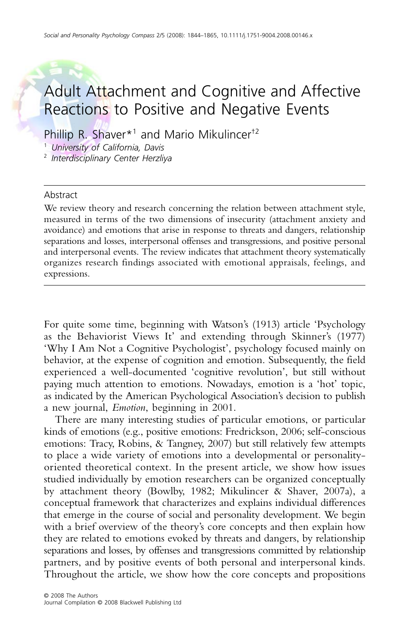# Adult Attachment and Cognitive and Affective Reactions to Positive and Negative Events

Phillip R. Shaver\*<sup>1</sup> and Mario Mikulincer<sup>t2</sup>

<sup>1</sup> *University of California, Davis* 

<sup>2</sup> *Interdisciplinary Center Herzliya*

#### Abstract

We review theory and research concerning the relation between attachment style, measured in terms of the two dimensions of insecurity (attachment anxiety and avoidance) and emotions that arise in response to threats and dangers, relationship separations and losses, interpersonal offenses and transgressions, and positive personal and interpersonal events. The review indicates that attachment theory systematically organizes research findings associated with emotional appraisals, feelings, and expressions.

For quite some time, beginning with Watson's (1913) article 'Psychology as the Behaviorist Views It' and extending through Skinner's (1977) 'Why I Am Not a Cognitive Psychologist', psychology focused mainly on behavior, at the expense of cognition and emotion. Subsequently, the field experienced a well-documented 'cognitive revolution', but still without paying much attention to emotions. Nowadays, emotion is a 'hot' topic, as indicated by the American Psychological Association's decision to publish a new journal, *Emotion*, beginning in 2001.

There are many interesting studies of particular emotions, or particular kinds of emotions (e.g., positive emotions: Fredrickson, 2006; self-conscious emotions: Tracy, Robins, & Tangney, 2007) but still relatively few attempts to place a wide variety of emotions into a developmental or personalityoriented theoretical context. In the present article, we show how issues studied individually by emotion researchers can be organized conceptually by attachment theory (Bowlby, 1982; Mikulincer & Shaver, 2007a), a conceptual framework that characterizes and explains individual differences that emerge in the course of social and personality development. We begin with a brief overview of the theory's core concepts and then explain how they are related to emotions evoked by threats and dangers, by relationship separations and losses, by offenses and transgressions committed by relationship partners, and by positive events of both personal and interpersonal kinds. Throughout the article, we show how the core concepts and propositions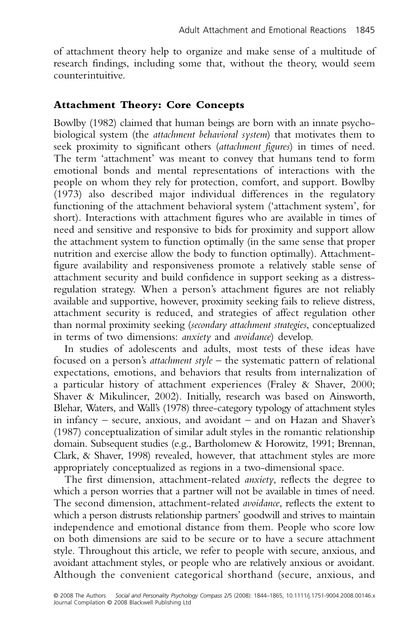of attachment theory help to organize and make sense of a multitude of research findings, including some that, without the theory, would seem counterintuitive.

# **Attachment Theory: Core Concepts**

Bowlby (1982) claimed that human beings are born with an innate psychobiological system (the *attachment behavioral system*) that motivates them to seek proximity to significant others (*attachment figures*) in times of need. The term 'attachment' was meant to convey that humans tend to form emotional bonds and mental representations of interactions with the people on whom they rely for protection, comfort, and support. Bowlby (1973) also described major individual differences in the regulatory functioning of the attachment behavioral system ('attachment system', for short). Interactions with attachment figures who are available in times of need and sensitive and responsive to bids for proximity and support allow the attachment system to function optimally (in the same sense that proper nutrition and exercise allow the body to function optimally). Attachmentfigure availability and responsiveness promote a relatively stable sense of attachment security and build confidence in support seeking as a distressregulation strategy. When a person's attachment figures are not reliably available and supportive, however, proximity seeking fails to relieve distress, attachment security is reduced, and strategies of affect regulation other than normal proximity seeking (*secondary attachment strategies*, conceptualized in terms of two dimensions: *anxiety* and *avoidance*) develop.

In studies of adolescents and adults, most tests of these ideas have focused on a person's *attachment style* – the systematic pattern of relational expectations, emotions, and behaviors that results from internalization of a particular history of attachment experiences (Fraley & Shaver, 2000; Shaver & Mikulincer, 2002). Initially, research was based on Ainsworth, Blehar, Waters, and Wall's (1978) three-category typology of attachment styles in infancy – secure, anxious, and avoidant – and on Hazan and Shaver's (1987) conceptualization of similar adult styles in the romantic relationship domain. Subsequent studies (e.g., Bartholomew & Horowitz, 1991; Brennan, Clark, & Shaver, 1998) revealed, however, that attachment styles are more appropriately conceptualized as regions in a two-dimensional space.

The first dimension, attachment-related *anxiety*, reflects the degree to which a person worries that a partner will not be available in times of need. The second dimension, attachment-related *avoidance*, reflects the extent to which a person distrusts relationship partners' goodwill and strives to maintain independence and emotional distance from them. People who score low on both dimensions are said to be secure or to have a secure attachment style. Throughout this article, we refer to people with secure, anxious, and avoidant attachment styles, or people who are relatively anxious or avoidant. Although the convenient categorical shorthand (secure, anxious, and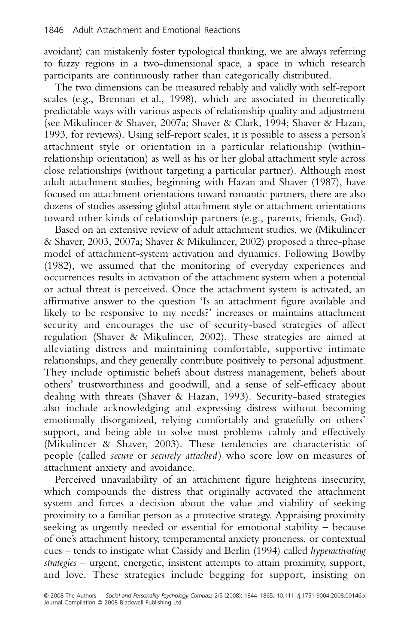avoidant) can mistakenly foster typological thinking, we are always referring to fuzzy regions in a two-dimensional space, a space in which research participants are continuously rather than categorically distributed.

The two dimensions can be measured reliably and validly with self-report scales (e.g., Brennan et al., 1998), which are associated in theoretically predictable ways with various aspects of relationship quality and adjustment (see Mikulincer & Shaver, 2007a; Shaver & Clark, 1994; Shaver & Hazan, 1993, for reviews). Using self-report scales, it is possible to assess a person's attachment style or orientation in a particular relationship (withinrelationship orientation) as well as his or her global attachment style across close relationships (without targeting a particular partner). Although most adult attachment studies, beginning with Hazan and Shaver (1987), have focused on attachment orientations toward romantic partners, there are also dozens of studies assessing global attachment style or attachment orientations toward other kinds of relationship partners (e.g., parents, friends, God).

Based on an extensive review of adult attachment studies, we (Mikulincer & Shaver, 2003, 2007a; Shaver & Mikulincer, 2002) proposed a three-phase model of attachment-system activation and dynamics. Following Bowlby (1982), we assumed that the monitoring of everyday experiences and occurrences results in activation of the attachment system when a potential or actual threat is perceived. Once the attachment system is activated, an affirmative answer to the question 'Is an attachment figure available and likely to be responsive to my needs?' increases or maintains attachment security and encourages the use of security-based strategies of affect regulation (Shaver & Mikulincer, 2002). These strategies are aimed at alleviating distress and maintaining comfortable, supportive intimate relationships, and they generally contribute positively to personal adjustment. They include optimistic beliefs about distress management, beliefs about others' trustworthiness and goodwill, and a sense of self-efficacy about dealing with threats (Shaver & Hazan, 1993). Security-based strategies also include acknowledging and expressing distress without becoming emotionally disorganized, relying comfortably and gratefully on others' support, and being able to solve most problems calmly and effectively (Mikulincer & Shaver, 2003). These tendencies are characteristic of people (called *secure* or *securely attached*) who score low on measures of attachment anxiety and avoidance.

Perceived unavailability of an attachment figure heightens insecurity, which compounds the distress that originally activated the attachment system and forces a decision about the value and viability of seeking proximity to a familiar person as a protective strategy. Appraising proximity seeking as urgently needed or essential for emotional stability – because of one's attachment history, temperamental anxiety proneness, or contextual cues – tends to instigate what Cassidy and Berlin (1994) called *hyperactivating strategies* – urgent, energetic, insistent attempts to attain proximity, support, and love. These strategies include begging for support, insisting on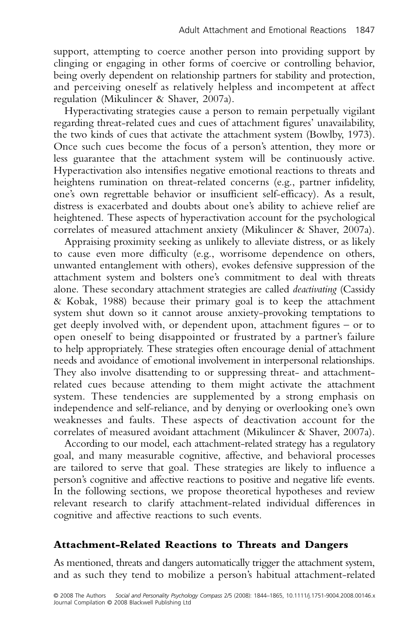support, attempting to coerce another person into providing support by clinging or engaging in other forms of coercive or controlling behavior, being overly dependent on relationship partners for stability and protection, and perceiving oneself as relatively helpless and incompetent at affect regulation (Mikulincer & Shaver, 2007a).

Hyperactivating strategies cause a person to remain perpetually vigilant regarding threat-related cues and cues of attachment figures' unavailability, the two kinds of cues that activate the attachment system (Bowlby, 1973). Once such cues become the focus of a person's attention, they more or less guarantee that the attachment system will be continuously active. Hyperactivation also intensifies negative emotional reactions to threats and heightens rumination on threat-related concerns (e.g., partner infidelity, one's own regrettable behavior or insufficient self-efficacy). As a result, distress is exacerbated and doubts about one's ability to achieve relief are heightened. These aspects of hyperactivation account for the psychological correlates of measured attachment anxiety (Mikulincer & Shaver, 2007a).

Appraising proximity seeking as unlikely to alleviate distress, or as likely to cause even more difficulty (e.g., worrisome dependence on others, unwanted entanglement with others), evokes defensive suppression of the attachment system and bolsters one's commitment to deal with threats alone. These secondary attachment strategies are called *deactivating* (Cassidy & Kobak, 1988) because their primary goal is to keep the attachment system shut down so it cannot arouse anxiety-provoking temptations to get deeply involved with, or dependent upon, attachment figures – or to open oneself to being disappointed or frustrated by a partner's failure to help appropriately. These strategies often encourage denial of attachment needs and avoidance of emotional involvement in interpersonal relationships. They also involve disattending to or suppressing threat- and attachmentrelated cues because attending to them might activate the attachment system. These tendencies are supplemented by a strong emphasis on independence and self-reliance, and by denying or overlooking one's own weaknesses and faults. These aspects of deactivation account for the correlates of measured avoidant attachment (Mikulincer & Shaver, 2007a).

According to our model, each attachment-related strategy has a regulatory goal, and many measurable cognitive, affective, and behavioral processes are tailored to serve that goal. These strategies are likely to influence a person's cognitive and affective reactions to positive and negative life events. In the following sections, we propose theoretical hypotheses and review relevant research to clarify attachment-related individual differences in cognitive and affective reactions to such events.

## **Attachment-Related Reactions to Threats and Dangers**

As mentioned, threats and dangers automatically trigger the attachment system, and as such they tend to mobilize a person's habitual attachment-related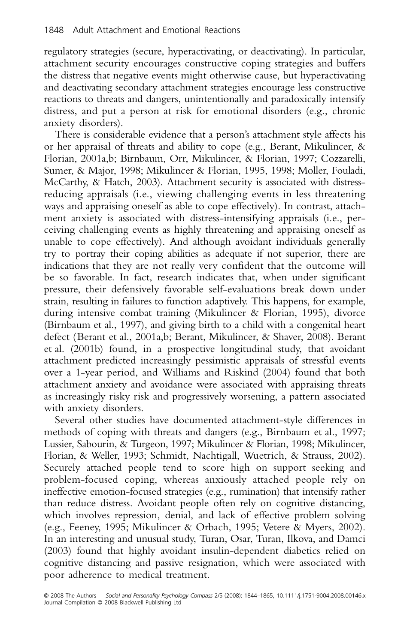regulatory strategies (secure, hyperactivating, or deactivating). In particular, attachment security encourages constructive coping strategies and buffers the distress that negative events might otherwise cause, but hyperactivating and deactivating secondary attachment strategies encourage less constructive reactions to threats and dangers, unintentionally and paradoxically intensify distress, and put a person at risk for emotional disorders (e.g., chronic anxiety disorders).

There is considerable evidence that a person's attachment style affects his or her appraisal of threats and ability to cope (e.g., Berant, Mikulincer, & Florian, 2001a,b; Birnbaum, Orr, Mikulincer, & Florian, 1997; Cozzarelli, Sumer, & Major, 1998; Mikulincer & Florian, 1995, 1998; Moller, Fouladi, McCarthy, & Hatch, 2003). Attachment security is associated with distressreducing appraisals (i.e., viewing challenging events in less threatening ways and appraising oneself as able to cope effectively). In contrast, attachment anxiety is associated with distress-intensifying appraisals (i.e., perceiving challenging events as highly threatening and appraising oneself as unable to cope effectively). And although avoidant individuals generally try to portray their coping abilities as adequate if not superior, there are indications that they are not really very confident that the outcome will be so favorable. In fact, research indicates that, when under significant pressure, their defensively favorable self-evaluations break down under strain, resulting in failures to function adaptively. This happens, for example, during intensive combat training (Mikulincer & Florian, 1995), divorce (Birnbaum et al., 1997), and giving birth to a child with a congenital heart defect (Berant et al., 2001a,b; Berant, Mikulincer, & Shaver, 2008). Berant et al. (2001b) found, in a prospective longitudinal study, that avoidant attachment predicted increasingly pessimistic appraisals of stressful events over a 1-year period, and Williams and Riskind (2004) found that both attachment anxiety and avoidance were associated with appraising threats as increasingly risky risk and progressively worsening, a pattern associated with anxiety disorders.

Several other studies have documented attachment-style differences in methods of coping with threats and dangers (e.g., Birnbaum et al., 1997; Lussier, Sabourin, & Turgeon, 1997; Mikulincer & Florian, 1998; Mikulincer, Florian, & Weller, 1993; Schmidt, Nachtigall, Wuetrich, & Strauss, 2002). Securely attached people tend to score high on support seeking and problem-focused coping, whereas anxiously attached people rely on ineffective emotion-focused strategies (e.g., rumination) that intensify rather than reduce distress. Avoidant people often rely on cognitive distancing, which involves repression, denial, and lack of effective problem solving (e.g., Feeney, 1995; Mikulincer & Orbach, 1995; Vetere & Myers, 2002). In an interesting and unusual study, Turan, Osar, Turan, Ilkova, and Damci (2003) found that highly avoidant insulin-dependent diabetics relied on cognitive distancing and passive resignation, which were associated with poor adherence to medical treatment.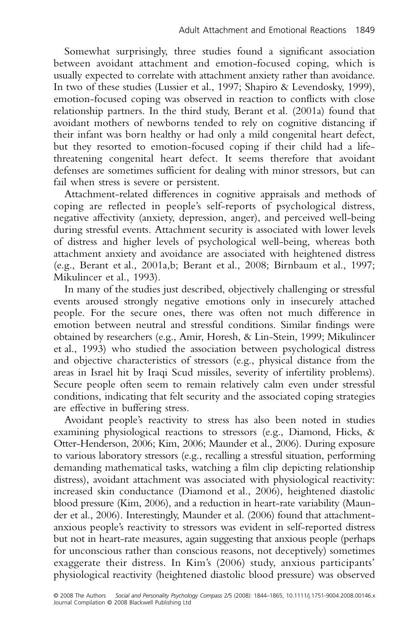Somewhat surprisingly, three studies found a significant association between avoidant attachment and emotion-focused coping, which is usually expected to correlate with attachment anxiety rather than avoidance. In two of these studies (Lussier et al., 1997; Shapiro & Levendosky, 1999), emotion-focused coping was observed in reaction to conflicts with close relationship partners. In the third study, Berant et al. (2001a) found that avoidant mothers of newborns tended to rely on cognitive distancing if their infant was born healthy or had only a mild congenital heart defect, but they resorted to emotion-focused coping if their child had a lifethreatening congenital heart defect. It seems therefore that avoidant defenses are sometimes sufficient for dealing with minor stressors, but can fail when stress is severe or persistent.

Attachment-related differences in cognitive appraisals and methods of coping are reflected in people's self-reports of psychological distress, negative affectivity (anxiety, depression, anger), and perceived well-being during stressful events. Attachment security is associated with lower levels of distress and higher levels of psychological well-being, whereas both attachment anxiety and avoidance are associated with heightened distress (e.g., Berant et al., 2001a,b; Berant et al., 2008; Birnbaum et al., 1997; Mikulincer et al., 1993).

In many of the studies just described, objectively challenging or stressful events aroused strongly negative emotions only in insecurely attached people. For the secure ones, there was often not much difference in emotion between neutral and stressful conditions. Similar findings were obtained by researchers (e.g., Amir, Horesh, & Lin-Stein, 1999; Mikulincer et al., 1993) who studied the association between psychological distress and objective characteristics of stressors (e.g., physical distance from the areas in Israel hit by Iraqi Scud missiles, severity of infertility problems). Secure people often seem to remain relatively calm even under stressful conditions, indicating that felt security and the associated coping strategies are effective in buffering stress.

Avoidant people's reactivity to stress has also been noted in studies examining physiological reactions to stressors (e.g., Diamond, Hicks, & Otter-Henderson, 2006; Kim, 2006; Maunder et al., 2006). During exposure to various laboratory stressors (e.g., recalling a stressful situation, performing demanding mathematical tasks, watching a film clip depicting relationship distress), avoidant attachment was associated with physiological reactivity: increased skin conductance (Diamond et al., 2006), heightened diastolic blood pressure (Kim, 2006), and a reduction in heart-rate variability (Maunder et al., 2006). Interestingly, Maunder et al. (2006) found that attachmentanxious people's reactivity to stressors was evident in self-reported distress but not in heart-rate measures, again suggesting that anxious people (perhaps for unconscious rather than conscious reasons, not deceptively) sometimes exaggerate their distress. In Kim's (2006) study, anxious participants' physiological reactivity (heightened diastolic blood pressure) was observed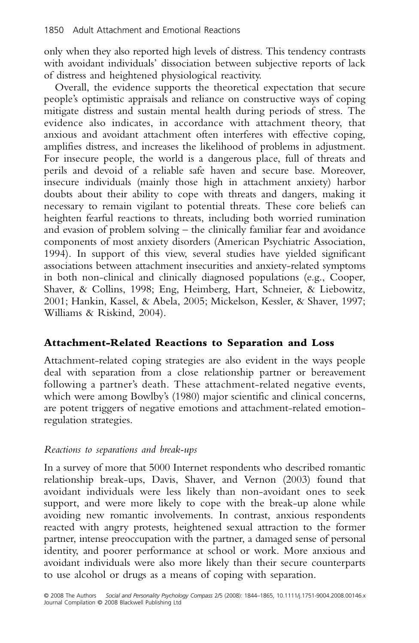only when they also reported high levels of distress. This tendency contrasts with avoidant individuals' dissociation between subjective reports of lack of distress and heightened physiological reactivity.

Overall, the evidence supports the theoretical expectation that secure people's optimistic appraisals and reliance on constructive ways of coping mitigate distress and sustain mental health during periods of stress. The evidence also indicates, in accordance with attachment theory, that anxious and avoidant attachment often interferes with effective coping, amplifies distress, and increases the likelihood of problems in adjustment. For insecure people, the world is a dangerous place, full of threats and perils and devoid of a reliable safe haven and secure base. Moreover, insecure individuals (mainly those high in attachment anxiety) harbor doubts about their ability to cope with threats and dangers, making it necessary to remain vigilant to potential threats. These core beliefs can heighten fearful reactions to threats, including both worried rumination and evasion of problem solving – the clinically familiar fear and avoidance components of most anxiety disorders (American Psychiatric Association, 1994). In support of this view, several studies have yielded significant associations between attachment insecurities and anxiety-related symptoms in both non-clinical and clinically diagnosed populations (e.g., Cooper, Shaver, & Collins, 1998; Eng, Heimberg, Hart, Schneier, & Liebowitz, 2001; Hankin, Kassel, & Abela, 2005; Mickelson, Kessler, & Shaver, 1997; Williams & Riskind, 2004).

# **Attachment-Related Reactions to Separation and Loss**

Attachment-related coping strategies are also evident in the ways people deal with separation from a close relationship partner or bereavement following a partner's death. These attachment-related negative events, which were among Bowlby's (1980) major scientific and clinical concerns, are potent triggers of negative emotions and attachment-related emotionregulation strategies.

#### *Reactions to separations and break-ups*

In a survey of more that 5000 Internet respondents who described romantic relationship break-ups, Davis, Shaver, and Vernon (2003) found that avoidant individuals were less likely than non-avoidant ones to seek support, and were more likely to cope with the break-up alone while avoiding new romantic involvements. In contrast, anxious respondents reacted with angry protests, heightened sexual attraction to the former partner, intense preoccupation with the partner, a damaged sense of personal identity, and poorer performance at school or work. More anxious and avoidant individuals were also more likely than their secure counterparts to use alcohol or drugs as a means of coping with separation.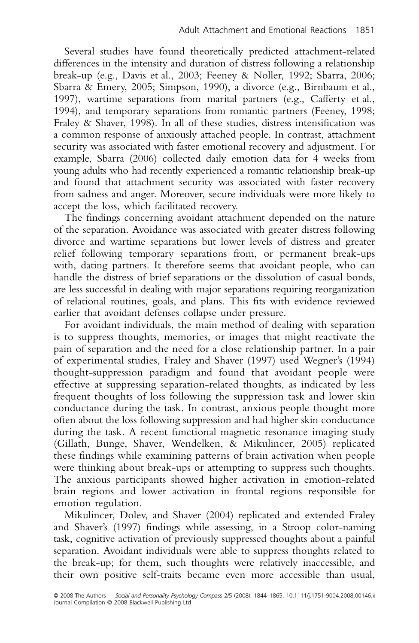Several studies have found theoretically predicted attachment-related differences in the intensity and duration of distress following a relationship break-up (e.g., Davis et al., 2003; Feeney & Noller, 1992; Sbarra, 2006; Sbarra & Emery, 2005; Simpson, 1990), a divorce (e.g., Birnbaum et al., 1997), wartime separations from marital partners (e.g., Cafferty et al., 1994), and temporary separations from romantic partners (Feeney, 1998; Fraley & Shaver, 1998). In all of these studies, distress intensification was a common response of anxiously attached people. In contrast, attachment security was associated with faster emotional recovery and adjustment. For example, Sbarra (2006) collected daily emotion data for 4 weeks from young adults who had recently experienced a romantic relationship break-up and found that attachment security was associated with faster recovery from sadness and anger. Moreover, secure individuals were more likely to accept the loss, which facilitated recovery.

The findings concerning avoidant attachment depended on the nature of the separation. Avoidance was associated with greater distress following divorce and wartime separations but lower levels of distress and greater relief following temporary separations from, or permanent break-ups with, dating partners. It therefore seems that avoidant people, who can handle the distress of brief separations or the dissolution of casual bonds, are less successful in dealing with major separations requiring reorganization of relational routines, goals, and plans. This fits with evidence reviewed earlier that avoidant defenses collapse under pressure.

For avoidant individuals, the main method of dealing with separation is to suppress thoughts, memories, or images that might reactivate the pain of separation and the need for a close relationship partner. In a pair of experimental studies, Fraley and Shaver (1997) used Wegner's (1994) thought-suppression paradigm and found that avoidant people were effective at suppressing separation-related thoughts, as indicated by less frequent thoughts of loss following the suppression task and lower skin conductance during the task. In contrast, anxious people thought more often about the loss following suppression and had higher skin conductance during the task. A recent functional magnetic resonance imaging study (Gillath, Bunge, Shaver, Wendelken, & Mikulincer, 2005) replicated these findings while examining patterns of brain activation when people were thinking about break-ups or attempting to suppress such thoughts. The anxious participants showed higher activation in emotion-related brain regions and lower activation in frontal regions responsible for emotion regulation.

Mikulincer, Dolev, and Shaver (2004) replicated and extended Fraley and Shaver's (1997) findings while assessing, in a Stroop color-naming task, cognitive activation of previously suppressed thoughts about a painful separation. Avoidant individuals were able to suppress thoughts related to the break-up; for them, such thoughts were relatively inaccessible, and their own positive self-traits became even more accessible than usual,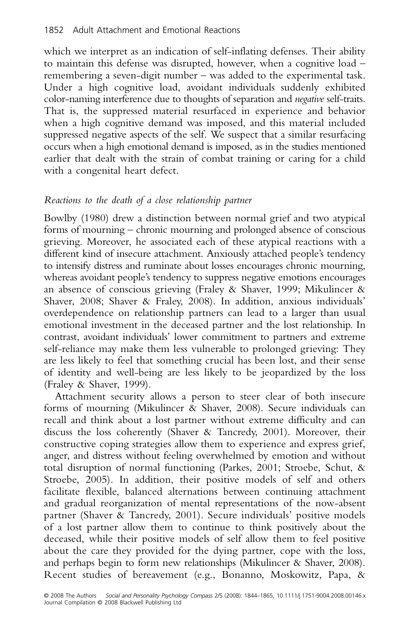which we interpret as an indication of self-inflating defenses. Their ability to maintain this defense was disrupted, however, when a cognitive load – remembering a seven-digit number – was added to the experimental task. Under a high cognitive load, avoidant individuals suddenly exhibited color-naming interference due to thoughts of separation and *negative* self-traits. That is, the suppressed material resurfaced in experience and behavior when a high cognitive demand was imposed, and this material included suppressed negative aspects of the self. We suspect that a similar resurfacing occurs when a high emotional demand is imposed, as in the studies mentioned earlier that dealt with the strain of combat training or caring for a child with a congenital heart defect.

## *Reactions to the death of a close relationship partner*

Bowlby (1980) drew a distinction between normal grief and two atypical forms of mourning – chronic mourning and prolonged absence of conscious grieving. Moreover, he associated each of these atypical reactions with a different kind of insecure attachment. Anxiously attached people's tendency to intensify distress and ruminate about losses encourages chronic mourning, whereas avoidant people's tendency to suppress negative emotions encourages an absence of conscious grieving (Fraley & Shaver, 1999; Mikulincer & Shaver, 2008; Shaver & Fraley, 2008). In addition, anxious individuals' overdependence on relationship partners can lead to a larger than usual emotional investment in the deceased partner and the lost relationship. In contrast, avoidant individuals' lower commitment to partners and extreme self-reliance may make them less vulnerable to prolonged grieving: They are less likely to feel that something crucial has been lost, and their sense of identity and well-being are less likely to be jeopardized by the loss (Fraley & Shaver, 1999).

Attachment security allows a person to steer clear of both insecure forms of mourning (Mikulincer & Shaver, 2008). Secure individuals can recall and think about a lost partner without extreme difficulty and can discuss the loss coherently (Shaver & Tancredy, 2001). Moreover, their constructive coping strategies allow them to experience and express grief, anger, and distress without feeling overwhelmed by emotion and without total disruption of normal functioning (Parkes, 2001; Stroebe, Schut, & Stroebe, 2005). In addition, their positive models of self and others facilitate flexible, balanced alternations between continuing attachment and gradual reorganization of mental representations of the now-absent partner (Shaver & Tancredy, 2001). Secure individuals' positive models of a lost partner allow them to continue to think positively about the deceased, while their positive models of self allow them to feel positive about the care they provided for the dying partner, cope with the loss, and perhaps begin to form new relationships (Mikulincer & Shaver, 2008). Recent studies of bereavement (e.g., Bonanno, Moskowitz, Papa, &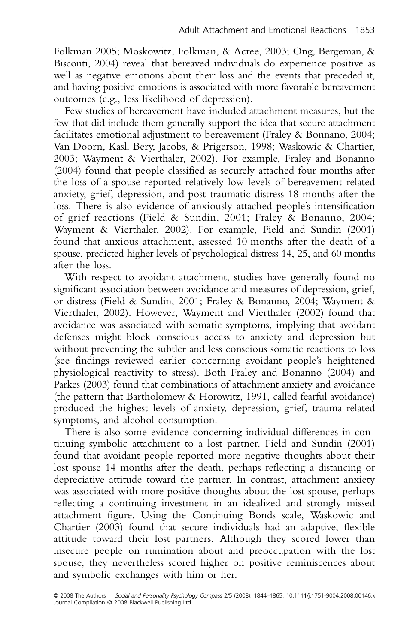Folkman 2005; Moskowitz, Folkman, & Acree, 2003; Ong, Bergeman, & Bisconti, 2004) reveal that bereaved individuals do experience positive as well as negative emotions about their loss and the events that preceded it, and having positive emotions is associated with more favorable bereavement outcomes (e.g., less likelihood of depression).

Few studies of bereavement have included attachment measures, but the few that did include them generally support the idea that secure attachment facilitates emotional adjustment to bereavement (Fraley & Bonnano, 2004; Van Doorn, Kasl, Bery, Jacobs, & Prigerson, 1998; Waskowic & Chartier, 2003; Wayment & Vierthaler, 2002). For example, Fraley and Bonanno (2004) found that people classified as securely attached four months after the loss of a spouse reported relatively low levels of bereavement-related anxiety, grief, depression, and post-traumatic distress 18 months after the loss. There is also evidence of anxiously attached people's intensification of grief reactions (Field & Sundin, 2001; Fraley & Bonanno, 2004; Wayment & Vierthaler, 2002). For example, Field and Sundin (2001) found that anxious attachment, assessed 10 months after the death of a spouse, predicted higher levels of psychological distress 14, 25, and 60 months after the loss.

With respect to avoidant attachment, studies have generally found no significant association between avoidance and measures of depression, grief, or distress (Field & Sundin, 2001; Fraley & Bonanno, 2004; Wayment & Vierthaler, 2002). However, Wayment and Vierthaler (2002) found that avoidance was associated with somatic symptoms, implying that avoidant defenses might block conscious access to anxiety and depression but without preventing the subtler and less conscious somatic reactions to loss (see findings reviewed earlier concerning avoidant people's heightened physiological reactivity to stress). Both Fraley and Bonanno (2004) and Parkes (2003) found that combinations of attachment anxiety and avoidance (the pattern that Bartholomew & Horowitz, 1991, called fearful avoidance) produced the highest levels of anxiety, depression, grief, trauma-related symptoms, and alcohol consumption.

There is also some evidence concerning individual differences in continuing symbolic attachment to a lost partner. Field and Sundin (2001) found that avoidant people reported more negative thoughts about their lost spouse 14 months after the death, perhaps reflecting a distancing or depreciative attitude toward the partner. In contrast, attachment anxiety was associated with more positive thoughts about the lost spouse, perhaps reflecting a continuing investment in an idealized and strongly missed attachment figure. Using the Continuing Bonds scale, Waskowic and Chartier (2003) found that secure individuals had an adaptive, flexible attitude toward their lost partners. Although they scored lower than insecure people on rumination about and preoccupation with the lost spouse, they nevertheless scored higher on positive reminiscences about and symbolic exchanges with him or her.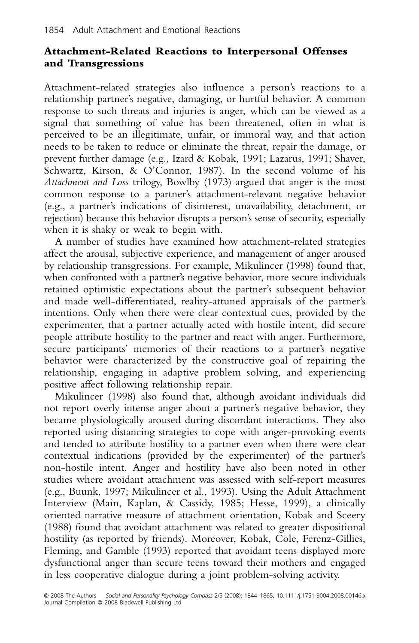# **Attachment-Related Reactions to Interpersonal Offenses and Transgressions**

Attachment-related strategies also influence a person's reactions to a relationship partner's negative, damaging, or hurtful behavior. A common response to such threats and injuries is anger, which can be viewed as a signal that something of value has been threatened, often in what is perceived to be an illegitimate, unfair, or immoral way, and that action needs to be taken to reduce or eliminate the threat, repair the damage, or prevent further damage (e.g., Izard & Kobak, 1991; Lazarus, 1991; Shaver, Schwartz, Kirson, & O'Connor, 1987). In the second volume of his *Attachment and Loss* trilogy, Bowlby (1973) argued that anger is the most common response to a partner's attachment-relevant negative behavior (e.g., a partner's indications of disinterest, unavailability, detachment, or rejection) because this behavior disrupts a person's sense of security, especially when it is shaky or weak to begin with.

A number of studies have examined how attachment-related strategies affect the arousal, subjective experience, and management of anger aroused by relationship transgressions. For example, Mikulincer (1998) found that, when confronted with a partner's negative behavior, more secure individuals retained optimistic expectations about the partner's subsequent behavior and made well-differentiated, reality-attuned appraisals of the partner's intentions. Only when there were clear contextual cues, provided by the experimenter, that a partner actually acted with hostile intent, did secure people attribute hostility to the partner and react with anger. Furthermore, secure participants' memories of their reactions to a partner's negative behavior were characterized by the constructive goal of repairing the relationship, engaging in adaptive problem solving, and experiencing positive affect following relationship repair.

Mikulincer (1998) also found that, although avoidant individuals did not report overly intense anger about a partner's negative behavior, they became physiologically aroused during discordant interactions. They also reported using distancing strategies to cope with anger-provoking events and tended to attribute hostility to a partner even when there were clear contextual indications (provided by the experimenter) of the partner's non-hostile intent. Anger and hostility have also been noted in other studies where avoidant attachment was assessed with self-report measures (e.g., Buunk, 1997; Mikulincer et al., 1993). Using the Adult Attachment Interview (Main, Kaplan, & Cassidy, 1985; Hesse, 1999), a clinically oriented narrative measure of attachment orientation, Kobak and Sceery (1988) found that avoidant attachment was related to greater dispositional hostility (as reported by friends). Moreover, Kobak, Cole, Ferenz-Gillies, Fleming, and Gamble (1993) reported that avoidant teens displayed more dysfunctional anger than secure teens toward their mothers and engaged in less cooperative dialogue during a joint problem-solving activity.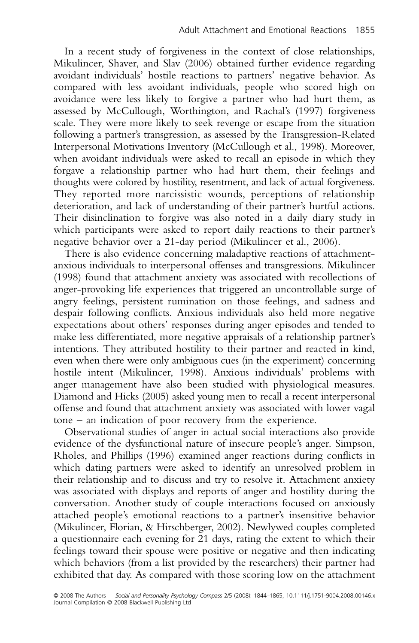In a recent study of forgiveness in the context of close relationships, Mikulincer, Shaver, and Slav (2006) obtained further evidence regarding avoidant individuals' hostile reactions to partners' negative behavior. As compared with less avoidant individuals, people who scored high on avoidance were less likely to forgive a partner who had hurt them, as assessed by McCullough, Worthington, and Rachal's (1997) forgiveness scale. They were more likely to seek revenge or escape from the situation following a partner's transgression, as assessed by the Transgression-Related Interpersonal Motivations Inventory (McCullough et al., 1998). Moreover, when avoidant individuals were asked to recall an episode in which they forgave a relationship partner who had hurt them, their feelings and thoughts were colored by hostility, resentment, and lack of actual forgiveness. They reported more narcissistic wounds, perceptions of relationship deterioration, and lack of understanding of their partner's hurtful actions. Their disinclination to forgive was also noted in a daily diary study in which participants were asked to report daily reactions to their partner's negative behavior over a 21-day period (Mikulincer et al., 2006).

There is also evidence concerning maladaptive reactions of attachmentanxious individuals to interpersonal offenses and transgressions. Mikulincer (1998) found that attachment anxiety was associated with recollections of anger-provoking life experiences that triggered an uncontrollable surge of angry feelings, persistent rumination on those feelings, and sadness and despair following conflicts. Anxious individuals also held more negative expectations about others' responses during anger episodes and tended to make less differentiated, more negative appraisals of a relationship partner's intentions. They attributed hostility to their partner and reacted in kind, even when there were only ambiguous cues (in the experiment) concerning hostile intent (Mikulincer, 1998). Anxious individuals' problems with anger management have also been studied with physiological measures. Diamond and Hicks (2005) asked young men to recall a recent interpersonal offense and found that attachment anxiety was associated with lower vagal tone – an indication of poor recovery from the experience.

Observational studies of anger in actual social interactions also provide evidence of the dysfunctional nature of insecure people's anger. Simpson, Rholes, and Phillips (1996) examined anger reactions during conflicts in which dating partners were asked to identify an unresolved problem in their relationship and to discuss and try to resolve it. Attachment anxiety was associated with displays and reports of anger and hostility during the conversation. Another study of couple interactions focused on anxiously attached people's emotional reactions to a partner's insensitive behavior (Mikulincer, Florian, & Hirschberger, 2002). Newlywed couples completed a questionnaire each evening for 21 days, rating the extent to which their feelings toward their spouse were positive or negative and then indicating which behaviors (from a list provided by the researchers) their partner had exhibited that day. As compared with those scoring low on the attachment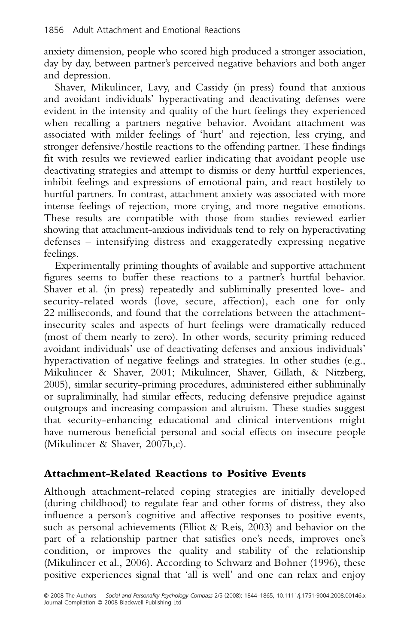anxiety dimension, people who scored high produced a stronger association, day by day, between partner's perceived negative behaviors and both anger and depression.

Shaver, Mikulincer, Lavy, and Cassidy (in press) found that anxious and avoidant individuals' hyperactivating and deactivating defenses were evident in the intensity and quality of the hurt feelings they experienced when recalling a partners negative behavior. Avoidant attachment was associated with milder feelings of 'hurt' and rejection, less crying, and stronger defensive/hostile reactions to the offending partner. These findings fit with results we reviewed earlier indicating that avoidant people use deactivating strategies and attempt to dismiss or deny hurtful experiences, inhibit feelings and expressions of emotional pain, and react hostilely to hurtful partners. In contrast, attachment anxiety was associated with more intense feelings of rejection, more crying, and more negative emotions. These results are compatible with those from studies reviewed earlier showing that attachment-anxious individuals tend to rely on hyperactivating defenses – intensifying distress and exaggeratedly expressing negative feelings.

Experimentally priming thoughts of available and supportive attachment figures seems to buffer these reactions to a partner's hurtful behavior. Shaver et al. (in press) repeatedly and subliminally presented love- and security-related words (love, secure, affection), each one for only 22 milliseconds, and found that the correlations between the attachmentinsecurity scales and aspects of hurt feelings were dramatically reduced (most of them nearly to zero). In other words, security priming reduced avoidant individuals' use of deactivating defenses and anxious individuals' hyperactivation of negative feelings and strategies. In other studies (e.g., Mikulincer & Shaver, 2001; Mikulincer, Shaver, Gillath, & Nitzberg, 2005), similar security-priming procedures, administered either subliminally or supraliminally, had similar effects, reducing defensive prejudice against outgroups and increasing compassion and altruism. These studies suggest that security-enhancing educational and clinical interventions might have numerous beneficial personal and social effects on insecure people (Mikulincer & Shaver, 2007b,c).

## **Attachment-Related Reactions to Positive Events**

Although attachment-related coping strategies are initially developed (during childhood) to regulate fear and other forms of distress, they also influence a person's cognitive and affective responses to positive events, such as personal achievements (Elliot & Reis, 2003) and behavior on the part of a relationship partner that satisfies one's needs, improves one's condition, or improves the quality and stability of the relationship (Mikulincer et al., 2006). According to Schwarz and Bohner (1996), these positive experiences signal that 'all is well' and one can relax and enjoy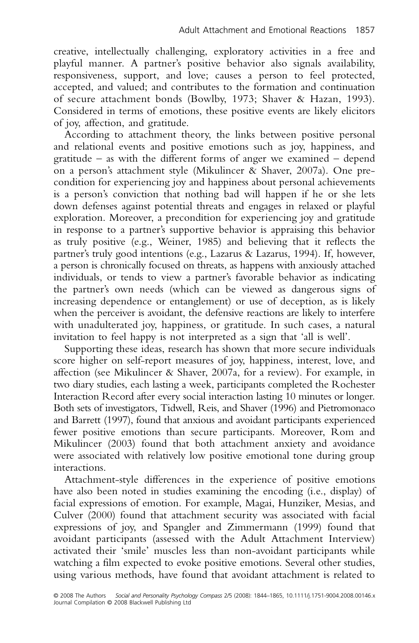creative, intellectually challenging, exploratory activities in a free and playful manner. A partner's positive behavior also signals availability, responsiveness, support, and love; causes a person to feel protected, accepted, and valued; and contributes to the formation and continuation of secure attachment bonds (Bowlby, 1973; Shaver & Hazan, 1993). Considered in terms of emotions, these positive events are likely elicitors of joy, affection, and gratitude.

According to attachment theory, the links between positive personal and relational events and positive emotions such as joy, happiness, and gratitude – as with the different forms of anger we examined – depend on a person's attachment style (Mikulincer & Shaver, 2007a). One precondition for experiencing joy and happiness about personal achievements is a person's conviction that nothing bad will happen if he or she lets down defenses against potential threats and engages in relaxed or playful exploration. Moreover, a precondition for experiencing joy and gratitude in response to a partner's supportive behavior is appraising this behavior as truly positive (e.g., Weiner, 1985) and believing that it reflects the partner's truly good intentions (e.g., Lazarus & Lazarus, 1994). If, however, a person is chronically focused on threats, as happens with anxiously attached individuals, or tends to view a partner's favorable behavior as indicating the partner's own needs (which can be viewed as dangerous signs of increasing dependence or entanglement) or use of deception, as is likely when the perceiver is avoidant, the defensive reactions are likely to interfere with unadulterated joy, happiness, or gratitude. In such cases, a natural invitation to feel happy is not interpreted as a sign that 'all is well'.

Supporting these ideas, research has shown that more secure individuals score higher on self-report measures of joy, happiness, interest, love, and affection (see Mikulincer & Shaver, 2007a, for a review). For example, in two diary studies, each lasting a week, participants completed the Rochester Interaction Record after every social interaction lasting 10 minutes or longer. Both sets of investigators, Tidwell, Reis, and Shaver (1996) and Pietromonaco and Barrett (1997), found that anxious and avoidant participants experienced fewer positive emotions than secure participants. Moreover, Rom and Mikulincer (2003) found that both attachment anxiety and avoidance were associated with relatively low positive emotional tone during group interactions.

Attachment-style differences in the experience of positive emotions have also been noted in studies examining the encoding (i.e., display) of facial expressions of emotion. For example, Magai, Hunziker, Mesias, and Culver (2000) found that attachment security was associated with facial expressions of joy, and Spangler and Zimmermann (1999) found that avoidant participants (assessed with the Adult Attachment Interview) activated their 'smile' muscles less than non-avoidant participants while watching a film expected to evoke positive emotions. Several other studies, using various methods, have found that avoidant attachment is related to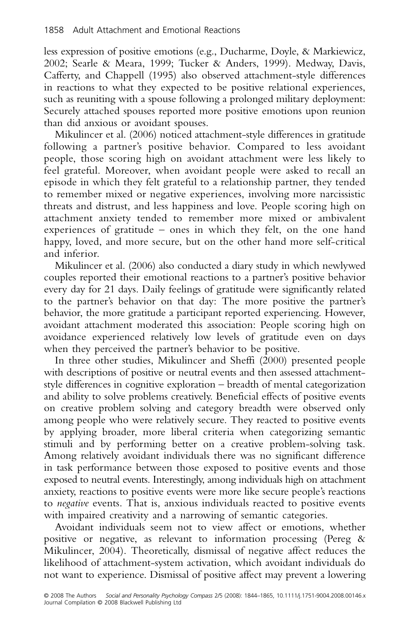less expression of positive emotions (e.g., Ducharme, Doyle, & Markiewicz, 2002; Searle & Meara, 1999; Tucker & Anders, 1999). Medway, Davis, Cafferty, and Chappell (1995) also observed attachment-style differences in reactions to what they expected to be positive relational experiences, such as reuniting with a spouse following a prolonged military deployment: Securely attached spouses reported more positive emotions upon reunion than did anxious or avoidant spouses.

Mikulincer et al. (2006) noticed attachment-style differences in gratitude following a partner's positive behavior. Compared to less avoidant people, those scoring high on avoidant attachment were less likely to feel grateful. Moreover, when avoidant people were asked to recall an episode in which they felt grateful to a relationship partner, they tended to remember mixed or negative experiences, involving more narcissistic threats and distrust, and less happiness and love. People scoring high on attachment anxiety tended to remember more mixed or ambivalent experiences of gratitude – ones in which they felt, on the one hand happy, loved, and more secure, but on the other hand more self-critical and inferior.

Mikulincer et al. (2006) also conducted a diary study in which newlywed couples reported their emotional reactions to a partner's positive behavior every day for 21 days. Daily feelings of gratitude were significantly related to the partner's behavior on that day: The more positive the partner's behavior, the more gratitude a participant reported experiencing. However, avoidant attachment moderated this association: People scoring high on avoidance experienced relatively low levels of gratitude even on days when they perceived the partner's behavior to be positive.

In three other studies, Mikulincer and Sheffi (2000) presented people with descriptions of positive or neutral events and then assessed attachmentstyle differences in cognitive exploration – breadth of mental categorization and ability to solve problems creatively. Beneficial effects of positive events on creative problem solving and category breadth were observed only among people who were relatively secure. They reacted to positive events by applying broader, more liberal criteria when categorizing semantic stimuli and by performing better on a creative problem-solving task. Among relatively avoidant individuals there was no significant difference in task performance between those exposed to positive events and those exposed to neutral events. Interestingly, among individuals high on attachment anxiety, reactions to positive events were more like secure people's reactions to *negative* events. That is, anxious individuals reacted to positive events with impaired creativity and a narrowing of semantic categories.

Avoidant individuals seem not to view affect or emotions, whether positive or negative, as relevant to information processing (Pereg & Mikulincer, 2004). Theoretically, dismissal of negative affect reduces the likelihood of attachment-system activation, which avoidant individuals do not want to experience. Dismissal of positive affect may prevent a lowering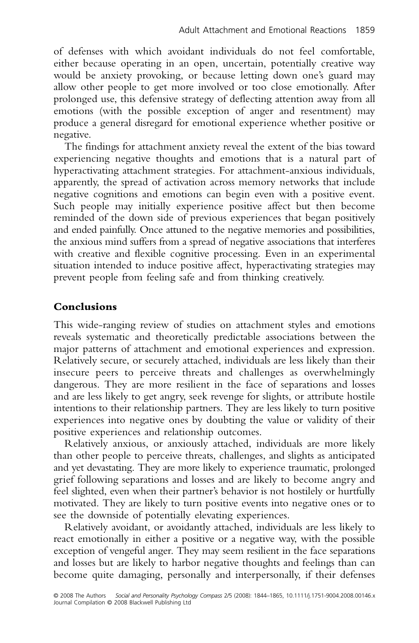of defenses with which avoidant individuals do not feel comfortable, either because operating in an open, uncertain, potentially creative way would be anxiety provoking, or because letting down one's guard may allow other people to get more involved or too close emotionally. After prolonged use, this defensive strategy of deflecting attention away from all emotions (with the possible exception of anger and resentment) may produce a general disregard for emotional experience whether positive or negative.

The findings for attachment anxiety reveal the extent of the bias toward experiencing negative thoughts and emotions that is a natural part of hyperactivating attachment strategies. For attachment-anxious individuals, apparently, the spread of activation across memory networks that include negative cognitions and emotions can begin even with a positive event. Such people may initially experience positive affect but then become reminded of the down side of previous experiences that began positively and ended painfully. Once attuned to the negative memories and possibilities, the anxious mind suffers from a spread of negative associations that interferes with creative and flexible cognitive processing. Even in an experimental situation intended to induce positive affect, hyperactivating strategies may prevent people from feeling safe and from thinking creatively.

## **Conclusions**

This wide-ranging review of studies on attachment styles and emotions reveals systematic and theoretically predictable associations between the major patterns of attachment and emotional experiences and expression. Relatively secure, or securely attached, individuals are less likely than their insecure peers to perceive threats and challenges as overwhelmingly dangerous. They are more resilient in the face of separations and losses and are less likely to get angry, seek revenge for slights, or attribute hostile intentions to their relationship partners. They are less likely to turn positive experiences into negative ones by doubting the value or validity of their positive experiences and relationship outcomes.

Relatively anxious, or anxiously attached, individuals are more likely than other people to perceive threats, challenges, and slights as anticipated and yet devastating. They are more likely to experience traumatic, prolonged grief following separations and losses and are likely to become angry and feel slighted, even when their partner's behavior is not hostilely or hurtfully motivated. They are likely to turn positive events into negative ones or to see the downside of potentially elevating experiences.

Relatively avoidant, or avoidantly attached, individuals are less likely to react emotionally in either a positive or a negative way, with the possible exception of vengeful anger. They may seem resilient in the face separations and losses but are likely to harbor negative thoughts and feelings than can become quite damaging, personally and interpersonally, if their defenses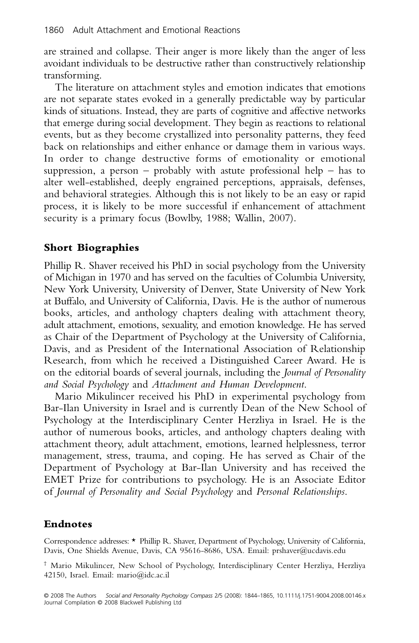are strained and collapse. Their anger is more likely than the anger of less avoidant individuals to be destructive rather than constructively relationship transforming.

The literature on attachment styles and emotion indicates that emotions are not separate states evoked in a generally predictable way by particular kinds of situations. Instead, they are parts of cognitive and affective networks that emerge during social development. They begin as reactions to relational events, but as they become crystallized into personality patterns, they feed back on relationships and either enhance or damage them in various ways. In order to change destructive forms of emotionality or emotional suppression, a person – probably with astute professional help – has to alter well-established, deeply engrained perceptions, appraisals, defenses, and behavioral strategies. Although this is not likely to be an easy or rapid process, it is likely to be more successful if enhancement of attachment security is a primary focus (Bowlby, 1988; Wallin, 2007).

### **Short Biographies**

Phillip R. Shaver received his PhD in social psychology from the University of Michigan in 1970 and has served on the faculties of Columbia University, New York University, University of Denver, State University of New York at Buffalo, and University of California, Davis. He is the author of numerous books, articles, and anthology chapters dealing with attachment theory, adult attachment, emotions, sexuality, and emotion knowledge. He has served as Chair of the Department of Psychology at the University of California, Davis, and as President of the International Association of Relationship Research, from which he received a Distinguished Career Award. He is on the editorial boards of several journals, including the *Journal of Personality and Social Psychology* and *Attachment and Human Development*.

Mario Mikulincer received his PhD in experimental psychology from Bar-Ilan University in Israel and is currently Dean of the New School of Psychology at the Interdisciplinary Center Herzliya in Israel. He is the author of numerous books, articles, and anthology chapters dealing with attachment theory, adult attachment, emotions, learned helplessness, terror management, stress, trauma, and coping. He has served as Chair of the Department of Psychology at Bar-Ilan University and has received the EMET Prize for contributions to psychology. He is an Associate Editor of *Journal of Personality and Social Psychology* and *Personal Relationships*.

#### **Endnotes**

Correspondence addresses: \* Phillip R. Shaver, Department of Psychology, University of California, Davis, One Shields Avenue, Davis, CA 95616-8686, USA. Email: prshaver@ucdavis.edu

† Mario Mikulincer, New School of Psychology, Interdisciplinary Center Herzliya, Herzliya 42150, Israel. Email: mario@idc.ac.il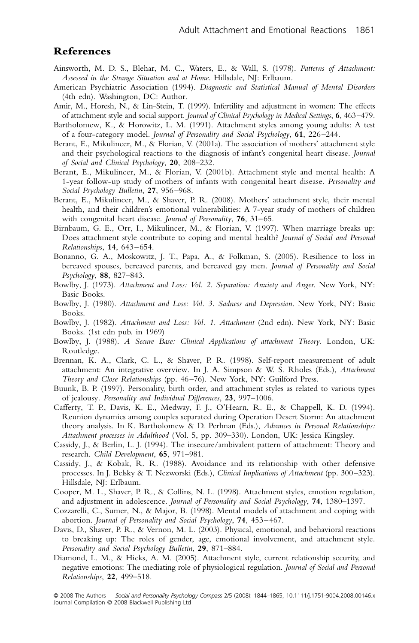#### **References**

- Ainsworth, M. D. S., Blehar, M. C., Waters, E., & Wall, S. (1978). *Patterns of Attachment: Assessed in the Strange Situation and at Home*. Hillsdale, NJ: Erlbaum.
- American Psychiatric Association (1994). *Diagnostic and Statistical Manual of Mental Disorders* (4th edn). Washington, DC: Author.
- Amir, M., Horesh, N., & Lin-Stein, T. (1999). Infertility and adjustment in women: The effects of attachment style and social support. *Journal of Clinical Psychology in Medical Settings*, **6**, 463–479.
- Bartholomew, K., & Horowitz, L. M. (1991). Attachment styles among young adults: A test of a four-category model. *Journal of Personality and Social Psychology*, **61**, 226–244.
- Berant, E., Mikulincer, M., & Florian, V. (2001a). The association of mothers' attachment style and their psychological reactions to the diagnosis of infant's congenital heart disease. *Journal of Social and Clinical Psychology*, **20**, 208–232.
- Berant, E., Mikulincer, M., & Florian, V. (2001b). Attachment style and mental health: A 1-year follow-up study of mothers of infants with congenital heart disease. *Personality and Social Psychology Bulletin*, **27**, 956–968.
- Berant, E., Mikulincer, M., & Shaver, P. R. (2008). Mothers' attachment style, their mental health, and their children's emotional vulnerabilities: A 7-year study of mothers of children with congenital heart disease. *Journal of Personality*, **76**, 31–65.
- Birnbaum, G. E., Orr, I., Mikulincer, M., & Florian, V. (1997). When marriage breaks up: Does attachment style contribute to coping and mental health? *Journal of Social and Personal Relationships*, **14**, 643–654.
- Bonanno, G. A., Moskowitz, J. T., Papa, A., & Folkman, S. (2005). Resilience to loss in bereaved spouses, bereaved parents, and bereaved gay men. *Journal of Personality and Social Psychology*, **88**, 827–843.
- Bowlby, J. (1973). *Attachment and Loss: Vol. 2. Separation: Anxiety and Anger*. New York, NY: Basic Books.
- Bowlby, J. (1980). *Attachment and Loss: Vol. 3. Sadness and Depression*. New York, NY: Basic Books.
- Bowlby, J. (1982). *Attachment and Loss: Vol. 1. Attachment* (2nd edn). New York, NY: Basic Books. (1st edn pub. in 1969)
- Bowlby, J. (1988). *A Secure Base: Clinical Applications of attachment Theory*. London, UK: Routledge.
- Brennan, K. A., Clark, C. L., & Shaver, P. R. (1998). Self-report measurement of adult attachment: An integrative overview. In J. A. Simpson & W. S. Rholes (Eds.), *Attachment Theory and Close Relationships* (pp. 46–76). New York, NY: Guilford Press.
- Buunk, B. P. (1997). Personality, birth order, and attachment styles as related to various types of jealousy. *Personality and Individual Differences*, **23**, 997–1006.
- Cafferty, T. P., Davis, K. E., Medway, F. J., O'Hearn, R. E., & Chappell, K. D. (1994). Reunion dynamics among couples separated during Operation Desert Storm: An attachment theory analysis. In K. Bartholomew & D. Perlman (Eds.), *Advances in Personal Relationships: Attachment processes in Adulthood* (Vol. 5, pp. 309–330). London, UK: Jessica Kingsley.
- Cassidy, J., & Berlin, L. J. (1994). The insecure/ambivalent pattern of attachment: Theory and research. *Child Development*, **65**, 971–981.
- Cassidy, J., & Kobak, R. R. (1988). Avoidance and its relationship with other defensive processes. In J. Belsky & T. Nezworski (Eds.), *Clinical Implications of Attachment* (pp. 300–323). Hillsdale, NJ: Erlbaum.
- Cooper, M. L., Shaver, P. R., & Collins, N. L. (1998). Attachment styles, emotion regulation, and adjustment in adolescence. *Journal of Personality and Social Psychology*, **74**, 1380–1397.
- Cozzarelli, C., Sumer, N., & Major, B. (1998). Mental models of attachment and coping with abortion. *Journal of Personality and Social Psychology*, **74**, 453–467.
- Davis, D., Shaver, P. R., & Vernon, M. L. (2003). Physical, emotional, and behavioral reactions to breaking up: The roles of gender, age, emotional involvement, and attachment style. *Personality and Social Psychology Bulletin*, **29**, 871–884.
- Diamond, L. M., & Hicks, A. M. (2005). Attachment style, current relationship security, and negative emotions: The mediating role of physiological regulation. *Journal of Social and Personal Relationships*, **22**, 499–518.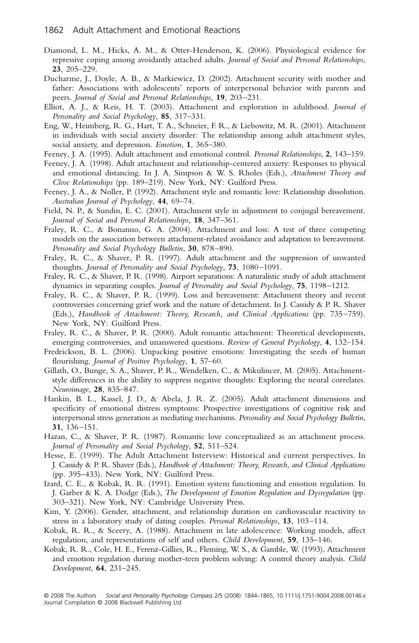- Diamond, L. M., Hicks, A. M., & Otter-Henderson, K. (2006). Physiological evidence for repressive coping among avoidantly attached adults. *Journal of Social and Personal Relationships*, **23**, 205–229.
- Ducharme, J., Doyle, A. B., & Markiewicz, D. (2002). Attachment security with mother and father: Associations with adolescents' reports of interpersonal behavior with parents and peers. *Journal of Social and Personal Relationships*, **19**, 203–231.
- Elliot, A. J., & Reis, H. T. (2003). Attachment and exploration in adulthood. *Journal of Personality and Social Psychology*, **85**, 317–331.
- Eng, W., Heimberg, R. G., Hart, T. A., Schneier, F. R., & Liebowitz, M. R. (2001). Attachment in individuals with social anxiety disorder: The relationship among adult attachment styles, social anxiety, and depression. *Emotion*, **1**, 365–380.
- Feeney, J. A. (1995). Adult attachment and emotional control. *Personal Relationships*, **2**, 143–159.
- Feeney, J. A. (1998). Adult attachment and relationship-centered anxiety: Responses to physical and emotional distancing. In J. A. Simpson & W. S. Rholes (Eds.), *Attachment Theory and Close Relationships* (pp. 189–219). New York, NY: Guilford Press.
- Feeney, J. A., & Noller, P. (1992). Attachment style and romantic love: Relationship dissolution. *Australian Journal of Psychology*, **44**, 69–74.
- Field, N. P., & Sundin, E. C. (2001). Attachment style in adjustment to conjugal bereavement. *Journal of Social and Personal Relationships*, **18**, 347–361.
- Fraley, R. C., & Bonanno, G. A. (2004). Attachment and loss: A test of three competing models on the association between attachment-related avoidance and adaptation to bereavement. *Personality and Social Psychology Bulletin*, **30**, 878–890.
- Fraley, R. C., & Shaver, P. R. (1997). Adult attachment and the suppression of unwanted thoughts. *Journal of Personality and Social Psychology*, **73**, 1080–1091.
- Fraley, R. C., & Shaver, P. R. (1998). Airport separations: A naturalistic study of adult attachment dynamics in separating couples. *Journal of Personality and Social Psychology*, **75**, 1198–1212.
- Fraley, R. C., & Shaver, P. R. (1999). Loss and bereavement: Attachment theory and recent controversies concerning grief work and the nature of detachment. In J. Cassidy & P. R. Shaver (Eds.), *Handbook of Attachment: Theory, Research, and Clinical Applications* (pp. 735–759). New York, NY: Guilford Press.
- Fraley, R. C., & Shaver, P. R. (2000). Adult romantic attachment: Theoretical developments, emerging controversies, and unanswered questions. *Review of General Psychology*, **4**, 132–154.
- Fredrickson, B. L. (2006). Unpacking positive emotions: Investigating the seeds of human flourishing. *Journal of Positive Psychology*, **1**, 57–60.
- Gillath, O., Bunge, S. A., Shaver, P. R., Wendelken, C., & Mikulincer, M. (2005). Attachmentstyle differences in the ability to suppress negative thoughts: Exploring the neural correlates. *Neuroimage*, **28**, 835–847.
- Hankin, B. L., Kassel, J. D., & Abela, J. R. Z. (2005). Adult attachment dimensions and specificity of emotional distress symptoms: Prospective investigations of cognitive risk and interpersonal stress generation as mediating mechanisms. *Personality and Social Psychology Bulletin*, **31**, 136–151.
- Hazan, C., & Shaver, P. R. (1987). Romantic love conceptualized as an attachment process. *Journal of Personality and Social Psychology*, **52**, 511–524.
- Hesse, E. (1999). The Adult Attachment Interview: Historical and current perspectives. In J. Cassidy & P. R. Shaver (Eds.), *Handbook of Attachment: Theory, Research, and Clinical Applications* (pp. 395–433). New York, NY: Guilford Press.
- Izard, C. E., & Kobak, R. R. (1991). Emotion system functioning and emotion regulation. In J. Garber & K. A. Dodge (Eds.), *The Development of Emotion Regulation and Dysregulation* (pp. 303–321). New York, NY: Cambridge University Press.
- Kim, Y. (2006). Gender, attachment, and relationship duration on cardiovascular reactivity to stress in a laboratory study of dating couples. *Personal Relationships*, **13**, 103–114.
- Kobak, R. R., & Sceery, A. (1988). Attachment in late adolescence: Working models, affect regulation, and representations of self and others. *Child Development*, **59**, 135–146.
- Kobak, R. R., Cole, H. E., Ferenz-Gillies, R., Fleming, W. S., & Gamble, W. (1993). Attachment and emotion regulation during mother-teen problem solving: A control theory analysis. *Child Development*, **64**, 231–245.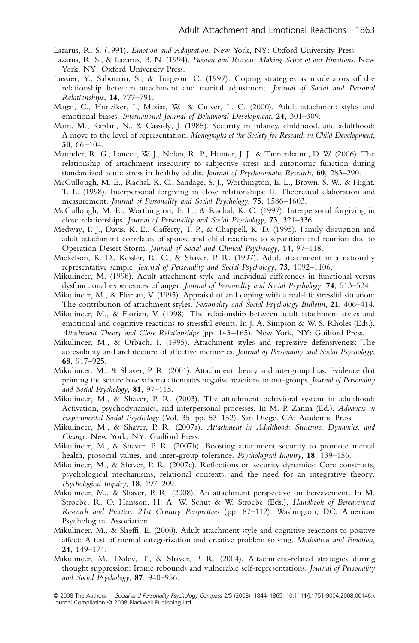- Lazarus, R. S. (1991). *Emotion and Adaptation*. New York, NY: Oxford University Press.
- Lazarus, R. S., & Lazarus, B. N. (1994). *Passion and Reason: Making Sense of our Emotions*. New York, NY: Oxford University Press.
- Lussier, Y., Sabourin, S., & Turgeon, C. (1997). Coping strategies as moderators of the relationship between attachment and marital adjustment. *Journal of Social and Personal Relationships*, **14**, 777–791.
- Magai, C., Hunziker, J., Mesias, W., & Culver, L. C. (2000). Adult attachment styles and emotional biases. *International Journal of Behavioral Development*, **24**, 301–309.
- Main, M., Kaplan, N., & Cassidy, J. (1985). Security in infancy, childhood, and adulthood: A move to the level of representation. *Monographs of the Society for Research in Child Development*, **50**, 66–104.
- Maunder, R. G., Lancee, W. J., Nolan, R. P., Hunter, J. J., & Tannenbaum, D. W. (2006). The relationship of attachment insecurity to subjective stress and autonomic function during standardized acute stress in healthy adults. *Journal of Psychosomatic Research*, **60**, 283–290.
- McCullough, M. E., Rachal, K. C., Sandage, S. J., Worthington, E. L., Brown, S. W., & Hight, T. L. (1998). Interpersonal forgiving in close relationships: II. Theoretical elaboration and measurement. *Journal of Personality and Social Psychology*, **75**, 1586–1603.
- McCullough, M. E., Worthington, E. L., & Rachal, K. C. (1997). Interpersonal forgiving in close relationships. *Journal of Personality and Social Psychology*, **73**, 321–336.
- Medway, F. J., Davis, K. E., Cafferty, T. P., & Chappell, K. D. (1995). Family disruption and adult attachment correlates of spouse and child reactions to separation and reunion due to Operation Desert Storm. *Journal of Social and Clinical Psychology*, **14**, 97–118.
- Mickelson, K. D., Kessler, R. C., & Shaver, P. R. (1997). Adult attachment in a nationally representative sample. *Journal of Personality and Social Psychology*, **73**, 1092–1106.
- Mikulincer, M. (1998). Adult attachment style and individual differences in functional versus dysfunctional experiences of anger. *Journal of Personality and Social Psychology*, **74**, 513–524.
- Mikulincer, M., & Florian, V. (1995). Appraisal of and coping with a real-life stressful situation: The contribution of attachment styles. *Personality and Social Psychology Bulletin*, **21**, 406–414.
- Mikulincer, M., & Florian, V. (1998). The relationship between adult attachment styles and emotional and cognitive reactions to stressful events. In J. A. Simpson & W. S. Rholes (Eds.), *Attachment Theory and Close Relationships* (pp. 143–165). New York, NY: Guilford Press.
- Mikulincer, M., & Orbach, I. (1995). Attachment styles and repressive defensiveness: The accessibility and architecture of affective memories. *Journal of Personality and Social Psychology*, **68**, 917–925.
- Mikulincer, M., & Shaver, P. R. (2001). Attachment theory and intergroup bias: Evidence that priming the secure base schema attenuates negative reactions to out-groups. *Journal of Personality and Social Psychology*, **81**, 97–115.
- Mikulincer, M., & Shaver, P. R. (2003). The attachment behavioral system in adulthood: Activation, psychodynamics, and interpersonal processes. In M. P. Zanna (Ed.), *Advances in Experimental Social Psychology* (Vol. 35, pp. 53–152). San Diego, CA: Academic Press.
- Mikulincer, M., & Shaver, P. R. (2007a). *Attachment in Adulthood: Structure, Dynamics, and Change*. New York, NY: Guilford Press.
- Mikulincer, M., & Shaver, P. R. (2007b). Boosting attachment security to promote mental health, prosocial values, and inter-group tolerance. *Psychological Inquiry*, **18**, 139–156.
- Mikulincer, M., & Shaver, P. R. (2007c). Reflections on security dynamics: Core constructs, psychological mechanisms, relational contexts, and the need for an integrative theory. *Psychological Inquiry*, **18**, 197–209.
- Mikulincer, M., & Shaver, P. R. (2008). An attachment perspective on bereavement. In M. Stroebe, R. O. Hansson, H. A. W. Schut & W. Stroebe (Eds.), *Handbook of Bereavement Research and Practice: 21st Century Perspectives* (pp. 87–112). Washington, DC: American Psychological Association.
- Mikulincer, M., & Sheffi, E. (2000). Adult attachment style and cognitive reactions to positive affect: A test of mental categorization and creative problem solving. *Motivation and Emotion*, **24**, 149–174.
- Mikulincer, M., Dolev, T., & Shaver, P. R. (2004). Attachment-related strategies during thought suppression: Ironic rebounds and vulnerable self-representations. *Journal of Personality and Social Psychology*, **87**, 940–956.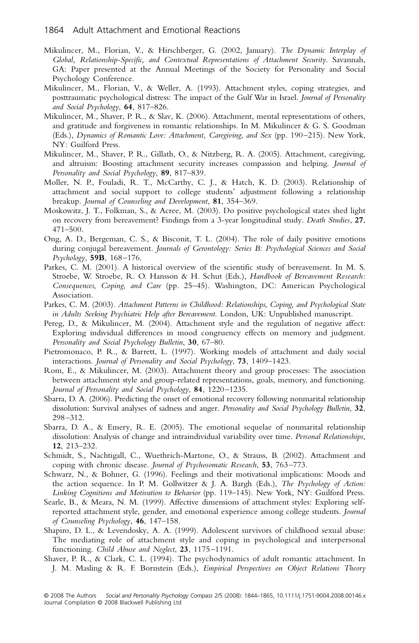- Mikulincer, M., Florian, V., & Hirschberger, G. (2002, January). *The Dynamic Interplay of Global, Relationship-Specific, and Contextual Representations of Attachment Security*. Savannah, GA: Paper presented at the Annual Meetings of the Society for Personality and Social Psychology Conference.
- Mikulincer, M., Florian, V., & Weller, A. (1993). Attachment styles, coping strategies, and posttraumatic psychological distress: The impact of the Gulf War in Israel. *Journal of Personality and Social Psychology*, **64**, 817–826.
- Mikulincer, M., Shaver, P. R., & Slav, K. (2006). Attachment, mental representations of others, and gratitude and forgiveness in romantic relationships. In M. Mikulincer & G. S. Goodman (Eds.), *Dynamics of Romantic Love: Attachment, Caregiving, and Sex* (pp. 190–215). New York, NY: Guilford Press.
- Mikulincer, M., Shaver, P. R., Gillath, O., & Nitzberg, R. A. (2005). Attachment, caregiving, and altruism: Boosting attachment security increases compassion and helping. *Journal of Personality and Social Psychology*, **89**, 817–839.
- Moller, N. P., Fouladi, R. T., McCarthy, C. J., & Hatch, K. D. (2003). Relationship of attachment and social support to college students' adjustment following a relationship breakup. *Journal of Counseling and Development*, **81**, 354–369.
- Moskowitz, J. T., Folkman, S., & Acree, M. (2003). Do positive psychological states shed light on recovery from bereavement? Findings from a 3-year longitudinal study. *Death Studies*, **27**, 471–500.
- Ong, A. D., Bergeman, C. S., & Bisconit, T. L. (2004). The role of daily positive emotions during conjugal bereavement. *Journals of Gerontology: Series B: Psychological Sciences and Social Psychology*, **59B**, 168–176.
- Parkes, C. M. (2001). A historical overview of the scientific study of bereavement. In M. S. Stroebe, W. Stroebe, R. O. Hansson & H. Schut (Eds.), *Handbook of Bereavement Research: Consequences, Coping, and Care* (pp. 25–45). Washington, DC: American Psychological Association.
- Parkes, C. M. (2003). *Attachment Patterns in Childhood: Relationships, Coping, and Psychological State in Adults Seeking Psychiatric Help after Bereavement*. London, UK: Unpublished manuscript.
- Pereg, D., & Mikulincer, M. (2004). Attachment style and the regulation of negative affect: Exploring individual differences in mood congruency effects on memory and judgment. *Personality and Social Psychology Bulletin*, **30**, 67–80.
- Pietromonaco, P. R., & Barrett, L. (1997). Working models of attachment and daily social interactions. *Journal of Personality and Social Psychology*, **73**, 1409–1423.
- Rom, E., & Mikulincer, M. (2003). Attachment theory and group processes: The association between attachment style and group-related representations, goals, memory, and functioning. *Journal of Personality and Social Psychology*, **84**, 1220–1235.
- Sbarra, D. A. (2006). Predicting the onset of emotional recovery following nonmarital relationship dissolution: Survival analyses of sadness and anger. *Personality and Social Psychology Bulletin*, **32**, 298–312.
- Sbarra, D. A., & Emery, R. E. (2005). The emotional sequelae of nonmarital relationship dissolution: Analysis of change and intraindividual variability over time. *Personal Relationships*, **12**, 213–232.
- Schmidt, S., Nachtigall, C., Wuethrich-Martone, O., & Strauss, B. (2002). Attachment and coping with chronic disease. *Journal of Psychosomatic Research*, **53**, 763–773.
- Schwarz, N., & Bohner, G. (1996). Feelings and their motivational implications: Moods and the action sequence. In P. M. Gollwitzer & J. A. Bargh (Eds.), *The Psychology of Action: Linking Cognitions and Motivation to Behavior* (pp. 119–145). New York, NY: Guilford Press.
- Searle, B., & Meara, N. M. (1999). Affective dimensions of attachment styles: Exploring selfreported attachment style, gender, and emotional experience among college students. *Journal of Counseling Psychology*, **46**, 147–158.
- Shapiro, D. L., & Levendosky, A. A. (1999). Adolescent survivors of childhood sexual abuse: The mediating role of attachment style and coping in psychological and interpersonal functioning. *Child Abuse and Neglect*, **23**, 1175–1191.
- Shaver, P. R., & Clark, C. L. (1994). The psychodynamics of adult romantic attachment. In J. M. Masling & R. F. Bornstein (Eds.), *Empirical Perspectives on Object Relations Theory*